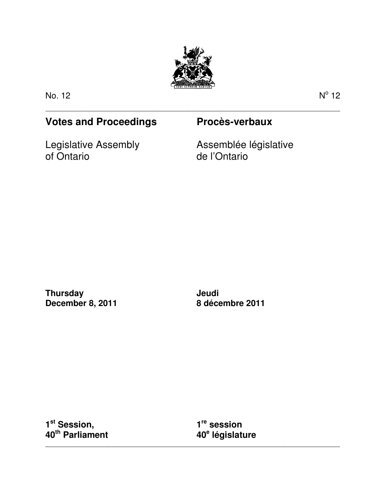

\_\_\_\_\_\_\_\_\_\_\_\_\_\_\_\_\_\_\_\_\_\_\_\_\_\_\_\_\_\_\_\_\_\_\_\_\_\_\_\_\_\_\_\_\_\_\_\_\_\_\_\_\_\_\_\_\_\_\_\_\_\_\_\_\_\_\_\_\_\_\_\_\_\_\_\_\_\_\_\_\_\_\_\_\_

No. 12 No. 12 No. 12 No. 12 No. 12 No. 12 No. 12 No. 12 No. 12 No. 12 No. 12 No. 12 No. 12 No. 12 No. 12 No. 1

 $^{\circ}$  12

# **Votes and Proceedings Procès-verbaux**

Legislative Assembly of Ontario

Assemblée législative de l'Ontario

**Thursday December 8, 2011**  **Jeudi 8 décembre 2011** 

**1 st Session, 40th Parliament** 

**1 re session 40<sup>e</sup> législature** 

\_\_\_\_\_\_\_\_\_\_\_\_\_\_\_\_\_\_\_\_\_\_\_\_\_\_\_\_\_\_\_\_\_\_\_\_\_\_\_\_\_\_\_\_\_\_\_\_\_\_\_\_\_\_\_\_\_\_\_\_\_\_\_\_\_\_\_\_\_\_\_\_\_\_\_\_\_\_\_\_\_\_\_\_\_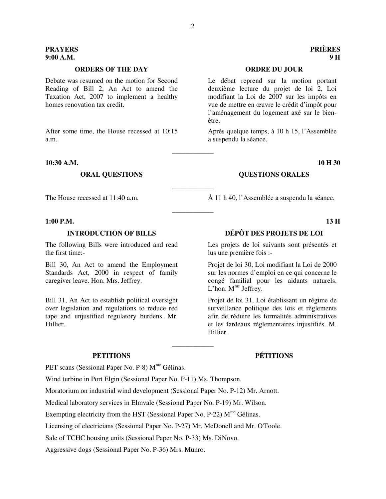## **PRAYERS PRIÈRES 9:00 A.M. 9 H**

# **ORDERS OF THE DAY ORDRE DU JOUR**

Debate was resumed on the motion for Second Reading of Bill 2, An Act to amend the Taxation Act, 2007 to implement a healthy homes renovation tax credit.

After some time, the House recessed at 10:15 a.m.

### **10:30 A.M. 10 H 30**

### **1:00 P.M. 13 H**

The following Bills were introduced and read the first time:-

Bill 30, An Act to amend the Employment Standards Act, 2000 in respect of family caregiver leave. Hon. Mrs. Jeffrey.

Bill 31, An Act to establish political oversight over legislation and regulations to reduce red tape and unjustified regulatory burdens. Mr. Hillier.

PET scans (Sessional Paper No. P-8) M<sup>me</sup> Gélinas.

Wind turbine in Port Elgin (Sessional Paper No. P-11) Ms. Thompson.

Moratorium on industrial wind development (Sessional Paper No. P-12) Mr. Arnott.

Medical laboratory services in Elmvale (Sessional Paper No. P-19) Mr. Wilson.

Exempting electricity from the HST (Sessional Paper No. P-22)  $M^{\text{me}}$  Gélinas.

Licensing of electricians (Sessional Paper No. P-27) Mr. McDonell and Mr. O'Toole.

Sale of TCHC housing units (Sessional Paper No. P-33) Ms. DiNovo.

Aggressive dogs (Sessional Paper No. P-36) Mrs. Munro.

Le débat reprend sur la motion portant deuxième lecture du projet de loi 2, Loi modifiant la Loi de 2007 sur les impôts en vue de mettre en œuvre le crédit d'impôt pour l'aménagement du logement axé sur le bienêtre.

Après quelque temps, à 10 h 15, l'Assemblée a suspendu la séance.

### **ORAL QUESTIONS COUNTING ASSESSMENT OF A LOCAL CONSUMING A LOCAL CONSUMING A LOCAL CONSUMING A LOCAL CONSUMING A LOCAL CONSUMING A LOCAL CONSUMING A LOCAL CONSUMING A LOCAL CONSUMING A LOCAL CONSUMING A LOCAL CONSUMING A L**

The House recessed at  $11:40$  a.m.  $\hat{A}$  11 h 40, l'Assemblée a suspendu la séance.

# **INTRODUCTION OF BILLS DÉPÔT DES PROJETS DE LOI**

Les projets de loi suivants sont présentés et lus une première fois :-

Projet de loi 30, Loi modifiant la Loi de 2000 sur les normes d'emploi en ce qui concerne le congé familial pour les aidants naturels. L'hon.  $M^{\text{me}}$  Jeffrey.

Projet de loi 31, Loi établissant un régime de surveillance politique des lois et règlements afin de réduire les formalités administratives et les fardeaux réglementaires injustifiés. M. Hillier.

### **PETITIONS PÉTITIONS**

\_\_\_\_\_\_\_\_\_\_\_\_

\_\_\_\_\_\_\_\_\_\_\_\_

\_\_\_\_\_\_\_\_\_\_\_\_

\_\_\_\_\_\_\_\_\_\_\_\_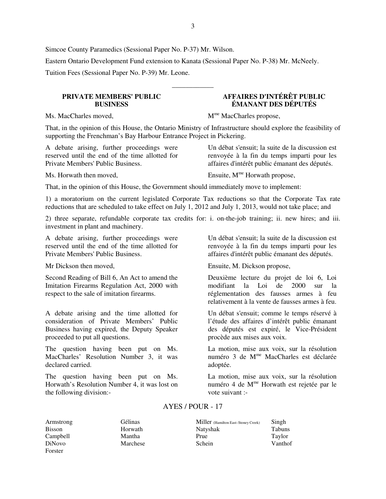Simcoe County Paramedics (Sessional Paper No. P-37) Mr. Wilson.

Eastern Ontario Development Fund extension to Kanata (Sessional Paper No. P-38) Mr. McNeely.

Tuition Fees (Sessional Paper No. P-39) Mr. Leone.

# **PRIVATE MEMBERS' PUBLIC BUSINESS**

# **AFFAIRES D'INTÉRÊT PUBLIC ÉMANANT DES DÉPUTÉS**

Ms. MacCharles moved, M<sup>me</sup> MacCharles propose,

That, in the opinion of this House, the Ontario Ministry of Infrastructure should explore the feasibility of supporting the Frenchman's Bay Harbour Entrance Project in Pickering.

\_\_\_\_\_\_\_\_\_\_\_\_

A debate arising, further proceedings were reserved until the end of the time allotted for Private Members' Public Business.

Un débat s'ensuit; la suite de la discussion est renvoyée à la fin du temps imparti pour les affaires d'intérêt public émanant des députés.

Ms. Horwath then moved, Ensuite, M<sup>me</sup> Horwath propose,

That, in the opinion of this House, the Government should immediately move to implement:

1) a moratorium on the current legislated Corporate Tax reductions so that the Corporate Tax rate reductions that are scheduled to take effect on July 1, 2012 and July 1, 2013, would not take place; and

2) three separate, refundable corporate tax credits for: i. on-the-job training; ii. new hires; and iii. investment in plant and machinery.

A debate arising, further proceedings were reserved until the end of the time allotted for Private Members' Public Business.

Second Reading of Bill 6, An Act to amend the Imitation Firearms Regulation Act, 2000 with respect to the sale of imitation firearms.

A debate arising and the time allotted for consideration of Private Members' Public Business having expired, the Deputy Speaker proceeded to put all questions.

The question having been put on Ms. MacCharles' Resolution Number 3, it was declared carried.

The question having been put on Ms. Horwath's Resolution Number 4, it was lost on the following division:-

Un débat s'ensuit; la suite de la discussion est renvoyée à la fin du temps imparti pour les affaires d'intérêt public émanant des députés.

Mr Dickson then moved, Ensuite, M. Dickson propose,

Deuxième lecture du projet de loi 6, Loi modifiant la Loi de 2000 sur la réglementation des fausses armes à feu relativement à la vente de fausses armes à feu.

Un débat s'ensuit; comme le temps réservé à l'étude des affaires d'intérêt public émanant des députés est expiré, le Vice-Président procède aux mises aux voix.

La motion, mise aux voix, sur la résolution numéro 3 de Mme MacCharles est déclarée adoptée.

La motion, mise aux voix, sur la résolution numéro 4 de Mme Horwath est rejetée par le vote suivant :-

# AYES / POUR - 17

| Armstrong     | Gélinas  | Miller (Hamilton East–Stoney Creek) | Singh   |
|---------------|----------|-------------------------------------|---------|
| <b>Bisson</b> | Horwath  | Natyshak                            | Tabuns  |
| Campbell      | Mantha   | Prue                                | Tavlor  |
| <b>DiNovo</b> | Marchese | Schein                              | Vanthof |
| Forster       |          |                                     |         |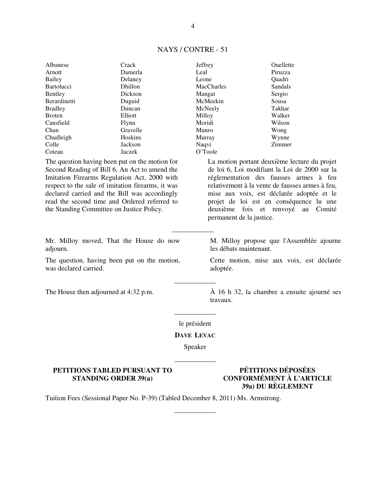# NAYS / CONTRE - 51

| Albanese<br>Arnott<br>Bailey | Crack<br>Damerla<br>Delaney | Jeffrey<br>Leal<br>Leone | <b>Ouellette</b><br>Piruzza<br>Qaadri |
|------------------------------|-----------------------------|--------------------------|---------------------------------------|
| <b>Bartolucci</b>            | Dhillon                     | <b>MacCharles</b>        | Sandals                               |
| Bentley                      | Dickson                     | Mangat                   | Sergio                                |
| <b>Berardinetti</b>          | Duguid                      | McMeekin                 | Sousa                                 |
| <b>Bradley</b>               | Duncan                      | McNeely                  | Takhar                                |
| <b>Broten</b>                | Elliott                     | Milloy                   | Walker                                |
| Cansfield                    | Flynn                       | Moridi                   | Wilson                                |
| Chan                         | Gravelle                    | Munro                    | Wong                                  |
| Chudleigh                    | Hoskins                     | Murray                   | Wynne                                 |
| Colle                        | Jackson                     | Naqvi                    | Zimmer                                |
| Coteau                       | Jaczek                      | O'Toole                  |                                       |

The question having been put on the motion for Second Reading of Bill 6, An Act to amend the Imitation Firearms Regulation Act, 2000 with respect to the sale of imitation firearms, it was declared carried and the Bill was accordingly read the second time and Ordered referred to the Standing Committee on Justice Policy.

Mr. Milloy moved, That the House do now adjourn.

The question, having been put on the motion, was declared carried.

La motion portant deuxième lecture du projet de loi 6, Loi modifiant la Loi de 2000 sur la réglementation des fausses armes à feu relativement à la vente de fausses armes à feu, mise aux voix, est déclarée adoptée et le projet de loi est en conséquence lu une deuxième fois et renvoyé au Comité permanent de la justice.

M. Milloy propose que l'Assemblée ajourne les débats maintenant.

Cette motion, mise aux voix, est déclarée adoptée.

The House then adjourned at 4:32 p.m.  $\hat{A}$  16 h 32, la chambre a ensuite ajourné ses travaux.

> \_\_\_\_\_\_\_\_\_\_\_\_ le président

> \_\_\_\_\_\_\_\_\_\_\_\_

\_\_\_\_\_\_\_\_\_\_\_\_

**DAVE LEVAC**

Speaker \_\_\_\_\_\_\_\_\_\_\_\_

\_\_\_\_\_\_\_\_\_\_\_\_

### **PETITIONS TABLED PURSUANT TO STANDING ORDER 39(a)**

**PÉTITIONS DÉPOSÉES CONFORMÉMENT À L'ARTICLE 39a) DU RÈGLEMENT** 

Tuition Fees (Sessional Paper No. P-39) (Tabled December 8, 2011) Ms. Armstrong.